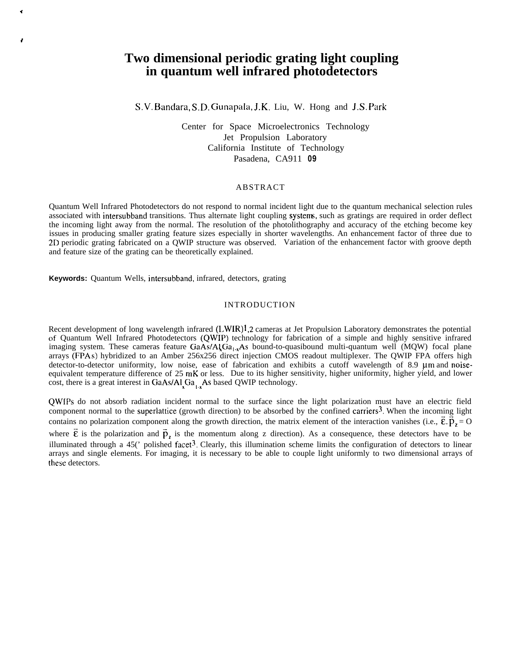# **Two dimensional periodic grating light coupling in quantum well infrared photodetectors**

S.V. Bandara, S.D. Gunapala, J.K. Liu, W. Hong and J.S. Park

Center for Space Microelectronics Technology Jet Propulsion Laboratory California Institute of Technology Pasadena, CA911 **09**

## ABSTRACT

Quantum Well Infrared Photodetectors do not respond to normal incident light due to the quantum mechanical selection rules associated with intersubband transitions. Thus alternate light coupling systerm, such as gratings are required in order deflect the incoming light away from the normal. The resolution of the photolithography and accuracy of the etching become key issues in producing smaller grating feature sizes especially in shorter wavelengths. An enhancement factor of three due to 2D periodic grating fabricated on a QWIP structure was observed. Variation of the enhancement factor with groove depth and feature size of the grating can be theoretically explained.

**Keywords:** Quantum Wells, intersubband, infrared, detectors, grating

## INTRODUCTION

Recent development of long wavelength infrared  $(LWIR)<sup>1</sup>$ , 2 cameras at Jet Propulsion Laboratory demonstrates the potential of Quantum Well Infrared Photodetectors (QWIP) technology for fabrication of a simple and highly sensitive infrared imaging system. These cameras feature GaAs/A $\overline{\text{Ga}_{1,x}}$ As bound-to-quasibound multi-quantum well (MQW) focal plane arrays (FPAs) hybridized to an Amber 256x256 direct injection CMOS readout multiplexer. The QWIP FPA offers high detector-to-detector uniformity, low noise, ease of fabrication and exhibits a cutoff wavelength of 8.9 um and noiseequivalent temperature difference of  $25$  mK or less. Due to its higher sensitivity, higher uniformity, higher yield, and lower cost, there is a great interest in GaAs/Al<sub>L</sub>Ga<sub>1</sub>, As based QWIP technology.

QWIPS do not absorb radiation incident normal to the surface since the light polarization must have an electric field component normal to the superlattice (growth direction) to be absorbed by the confined carriers<sup>3</sup>. When the incoming light contains no polarization component along the growth direction, the matrix element of the interaction vanishes (i.e.,  $\vec{\epsilon} \cdot \vec{p}_z = 0$ where  $\vec{\epsilon}$  is the polarization and  $\vec{p}_z$  is the momentum along z direction). As a consequence, these detectors have to be illuminated through a  $45'$  polished facet<sup>3</sup>. Clearly, this illumination scheme limits the configuration of detectors to linear arrays and single elements. For imaging, it is necessary to be able to couple light uniformly to two dimensional arrays of these detectors.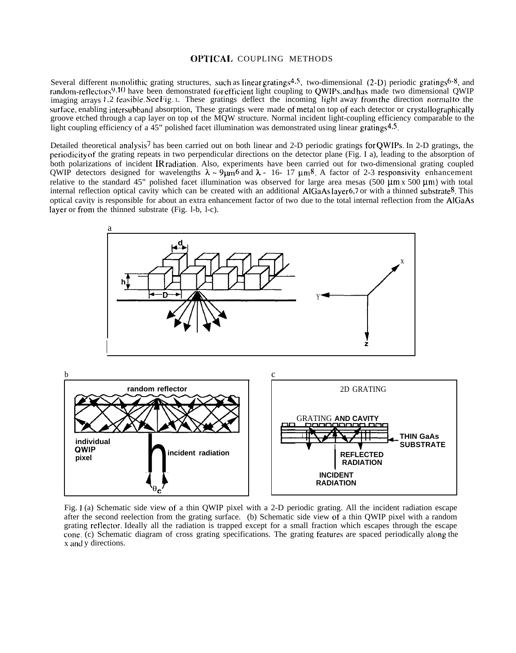# OPTICA1. COUPLING METHODS

Several different monolithic grating structures, such as linear gratings<sup>4,5</sup>, two-dimensional (2-D) periodic gratings<sup>6-8</sup>, and random-reflectors<sup>9,10</sup> have been demonstrated for efficient light coupling to QWIPs, and has made two dimensional QWIP imaging arrays 1.2 feasible. See Fig. 1. These gratings deflect the incoming light away from the direction normal to the surface, enabling intersubband absorption, These gratings were made of metal on top of each detector or crystallographically groove etched through a cap layer on top of the MQW structure. Normal incident light-coupling efficiency comparable to the light coupling efficiency of a 45" polished facet illumination was demonstrated using linear gratings<sup>4,5</sup>.

Detailed theoretical analysis<sup>7</sup> has been carried out on both linear and 2-D periodic gratings for QWIPs. In 2-D gratings, the periodicity of the grating repeats in two perpendicular directions on the detector plane (Fig. I a), leading to the absorption of both polarizations of incident IR radiation. Also, experiments have been carried out for two-dimensional grating coupled QWIP detectors designed for wavelengths  $\lambda \sim 9 \mu m^6$  and  $\lambda$  - 16- 17  $\mu m^8$ . A factor of 2-3 responsivity enhancement relative to the standard 45" polished facet illumination was observed for large area mesas (500  $\mu$ m x 500  $\mu$ m) with total internal reflection optical cavity which can be created with an additional  $AIGaAs layer 6,7$  or with a thinned substrate<sup>8</sup>. This optical cavity is responsible for about an extra enhancement factor of two due to the total internal reflection from the AIGaAs layer or from the thinned substrate (Fig. 1-b, 1-c).



Fig. 1 (a) Schematic side view of a thin QWIP pixel with a 2-D periodic grating. All the incident radiation escape after the second reelection from the grating surface. (b) Schematic side view of a thin QWIP pixel with a random grating retlector. Ideally all the radiation is trapped except for a small fraction which escapes through the escape cone. (c) Schematic diagram of cross grating specifications. The grating features are spaced periodically along the x and y directions.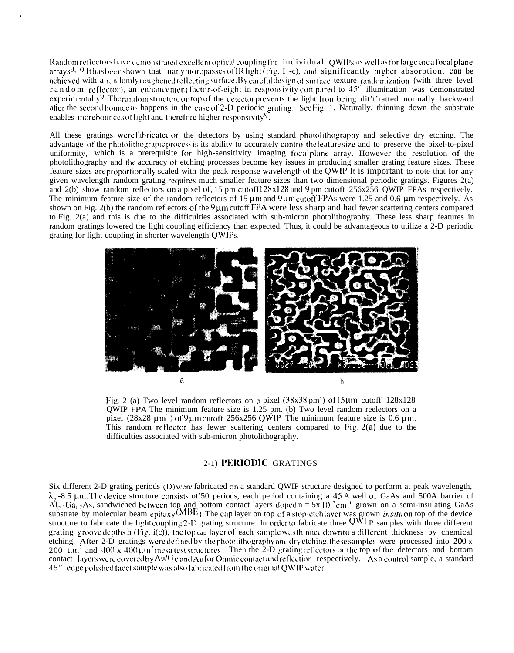Random reflectors have demonstrated excellent optical coupling for individual QWIPs as well as for large area focal plane arrays<sup>9,10</sup>. It has been shown that many more passes of IR light (Fig. 1 -c), and significantly higher absorption, can be achieved with a randomly roughened reflecting surface. By careful design of surface texture randomization (with three level r and om reflector), an enhancement factor-of-eight in responsivity compared to 45<sup>°</sup> illumination was demonstrated experimentally<sup>9</sup>. The random structure on top of the detector prevents the light from being dit't'ratted normally backward after the second bounce as happens in the case of 2-D periodic grating. See Fig. 1. Naturally, thinning down the substrate enables more bounces of light and therefore higher responsivity  $9$ .

All these gratings were fabricated on the detectors by using standard photolithography and selective dry etching. The advantage of the photolithograpic process is its ability to accurately control the feature size and to preserve the pixel-to-pixel uniformity, which is a prerequisite for high-sensitivity imaging focalplane array. However the resolution of the photolithography and the accuracy of etching processes become key issues in producing smaller grating feature sizes. These feature sizes are proportionally scaled with the peak response wavelength of the QWIP. It is important to note that for any given wavelength random grating requires much smaller feature sizes than two dimensional periodic gratings. Figures 2(a) and 2(b) show random reflectors on a pixel of, 15 pm cutoff 128x128 and 9 pm cutoff 256x256 OWIP FPAs respectively. The minimum feature size of the random reflectors of 15  $\mu$ m and 9 $\mu$ m cutoff FPAs were 1.25 and 0.6  $\mu$ m respectively. As shown on Fig. 2(b) the random reflectors of the  $9\mu$ m cutoff FPA were less sharp and had fewer scattering centers compared to Fig. 2(a) and this is due to the difficulties associated with sub-micron photolithography. These less sharp features in random gratings lowered the light coupling efficiency than expected. Thus, it could be advantageous to utilize a 2-D periodic grating for light coupling in shorter wavelength OWIPs.



Fig. 2 (a) Two level random reflectors on a pixel  $(38x38 \text{ pm}^3)$  of  $15\mu \text{m}$  cutoff  $128x128$ QWIP FPA The minimum feature size is 1.25 pm. (b) Two level random reelectors on a pixel  $(28x28 \mu m^2)$  of 9 µm cutoff 256x256 QWIP. The minimum feature size is 0.6 µm. This random reflector has fewer scattering centers compared to Fig.  $2(a)$  due to the difficulties associated with sub-micron photolithography.

# 2-1) PERIODIC GRATINGS

Six different 2-D grating periods (D) were fabricated on a standard QWIP structure designed to perform at peak wavelength,  $\lambda_p$ -8.5 µm. The device structure consists ot 50 periods, each period containing a 45 A well of GaAs and 500A barrier of Al<sub>o</sub>, Ga<sub>0.7</sub>As, sandwiched between top and bottom contact layers doped n = 5x 10<sup>17</sup>cm<sup>-3</sup>, grown grating groove depths h (Fig. i(c)), the top cap layer of each sample was thinned down to a different thickness by chemical etching. After 2-D gratings were defined by the photolithography and dry etching, these samples were processed into 200  $\times$ 200  $\mu$ m<sup>2</sup> and 400 x 400  $\mu$ m<sup>2</sup> mesa test structures. Then the 2-D grating reflectors on the top of the detectors and bottom contact layers were covered by Au/Ge and Aufor Ohmic contact and reflection respectively. As a control sample, a standard 45" edge polished facet sample was also fabricated from the original QWIP wafer.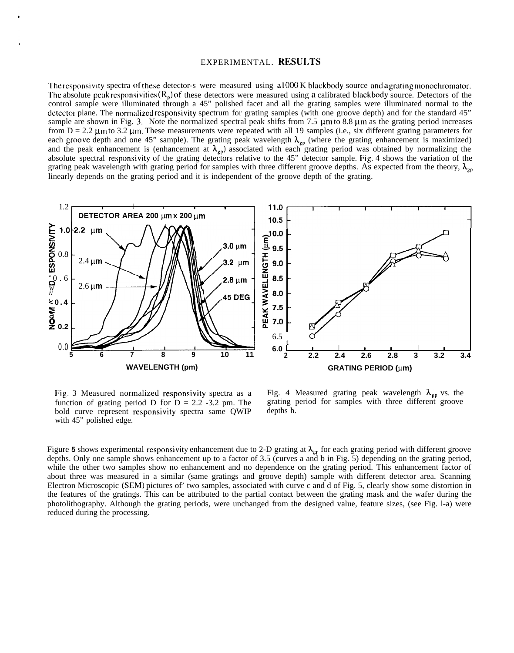#### EXPERIMENTAL. RESULTS

The responsivity spectra of these detector-s were measured using  $a1000 \text{ K}$  blackbody source and a grating monochromator. The absolute peak responsivities  $(R_p)$  of these detectors were measured using a calibrated blackbody source. Detectors of the control sample were illuminated through a 45" polished facet and all the grating samples were illuminated normal to the detector plane. The normalized responsivity spectrum for grating samples (with one groove depth) and for the standard 45" sample are shown in Fig. 3. Note the normalized spectral peak shifts from 7.5  $\mu$ m to 8.8  $\mu$ m as the grating period increases from  $D = 2.2 \mu m$  to 3.2  $\mu$ m. These measurements were repeated with all 19 samples (i.e., six different grating parameters for each groove depth and one 45" sample). The grating peak wavelength  $\lambda_{\rm gp}$  (where the grating enhancement is maximized) and the peak enhancement is (enhancement at  $\lambda_{\mu}$ ) associated with each grating period was obtained by normalizing the absolute spectral responsivity of the grating detectors relative to the 45" detector sample. Fig. 4 shows the variation of the grating peak wavelength with grating period for samples with three different groove depths. As expected from the theory,  $\lambda_{\rm{co}}$ linearly depends on the grating period and it is independent of the groove depth of the grating.



function of grating period D for  $D = 2.2 - 3.2$  pm. The grating period curve represent responsivity spectra same OWIP depths h. bold curve represent responsivity spectra same QWIP with 45" polished edge.

Fig. 3 Measured normalized responsivity spectra as a Fig. 4 Measured grating peak wavelength  $\lambda_{gp}$  vs. the function of grating period D for D = 2.2 -3.2 pm. The grating period for samples with three different groove

Figure 5 shows experimental responsivity enhancement due to 2-D grating at  $\lambda_{\rm gp}$  for each grating period with different groove depths. Only one sample shows enhancement up to a factor of 3.5 (curves a and b in Fig. 5) depending on the grating period, while the other two samples show no enhancement and no dependence on the grating period. This enhancement factor of about three was measured in a similar (same gratings and groove depth) sample with different detector area. Scanning Electron Microscopic (SEM) pictures of' two samples, associated with curve c and d of Fig. 5, clearly show some distortion in the features of the gratings. This can be attributed to the partial contact between the grating mask and the wafer during the photolithography. Although the grating periods, were unchanged from the designed value, feature sizes, (see Fig. l-a) were reduced during the processing.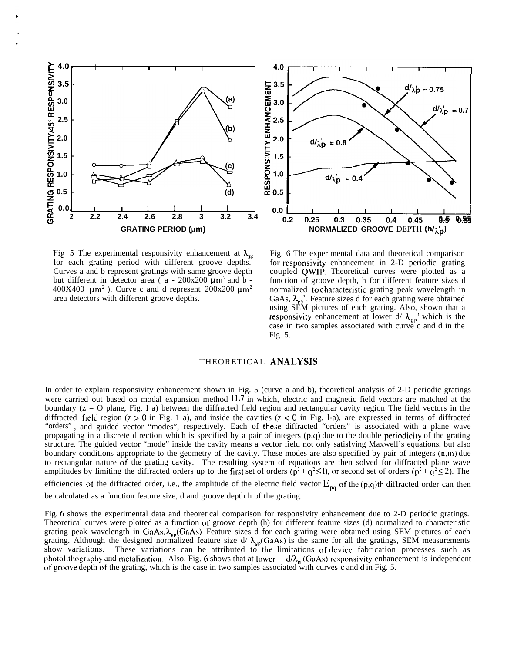

Fig. 5 The experimental responsivity enhancement at  $\lambda_{\rm gp}$  Fig. 6 The experimental data and theoretical comparison for each grating period with different groove depths. for responsivity enhancement in 2-D periodic grating Curves a and b represent gratings with same groove depth coupled QWIP. Theoretical curves were plotted as a Curves a and b represent gratings with same groove depth but different in detector area ( $a - 200x200 \mu m^2$  and b - function of groove depth, h for different feature sizes d 400X400  $\mu$ m<sup>2</sup>). Curve c and d represent 200x200  $\mu$ m<sup>2</sup> area detectors with different groove depths.



normalized to characteristic grating peak wavelength in GaAs,  $\lambda_{\mu}$ . Feature sizes d for each grating were obtained using SEM pictures of each grating. Also, shown that a responsivity enhancement at lower d/  $\lambda_{gp}$ ' which is the case in two samples associated with curve c and d in the Fig. 5.

# THEORETICAL ANALYSIS

In order to explain responsivity enhancement shown in Fig. 5 (curve a and b), theoretical analysis of 2-D periodic gratings were carried out based on modal expansion method 11.7 in which, electric and magnetic field vectors are matched at the boundary (z = O plane, Fig. I a) between the diffracted field region and rectangular cavity region The field vectors in the diffracted field region ( $z > 0$  in Fig. 1 a), and inside the cavities ( $z < 0$  in Fig. 1-a), are expressed in terms of diffracted "orders" , and guided vector "modes", respectively. Each of these diffracted "orders" is associated with a plane wave propagating in a discrete direction which is specified by a pair of integers (p,q) due to the double periodicity of the grating structure. The guided vector "mode" inside the cavity means a vector field not only satisfying Maxwell's equations, but also boundary conditions appropriate to the geometry of the cavity. These modes are also specified by pair of integers (n,m) due to rectangular nature of the grating cavity. The resulting system of equations are then solved for diffracted plane wave amplitudes by limiting the diffracted orders up to the first set of orders ( $p^2 + q^2 \le 1$ ), or second set of orders ( $p^2 + q^2 \le 2$ ). The efficiencies of the diffracted order, i.e., the amplitude of the electric field vector  $E_{pq}$  of the (p,q)th diffracted order can then be calculated as a function feature size, d and groove depth h of the grating.

Fig. 6 shows the experimental data and theoretical comparison for responsivity enhancement due to 2-D periodic gratings. Theoretical curves were plotted as a function of groove depth (h) for different feature sizes (d) normalized to characteristic grating peak wavelength in GaAs,  $\lambda_{\rm cp}$ (GaAs). Feature sizes d for each grating were obtained using SEM pictures of each grating. Although the designed normalized feature size d/  $\lambda_{\rm gp}$ (GaAs) is the same for all the gratings, SEM measurements show variations. These variations can be attributed to the limitations of device fabrication processes such as photolithography and metalization. Also, Fig. 6 shows that at lower  $d/\lambda_{\text{co}}(GaAs)$ , responsivity enhancement is independent of groove depth of the grating, which is the case in two samples associated with curves c and d in Fig. 5.